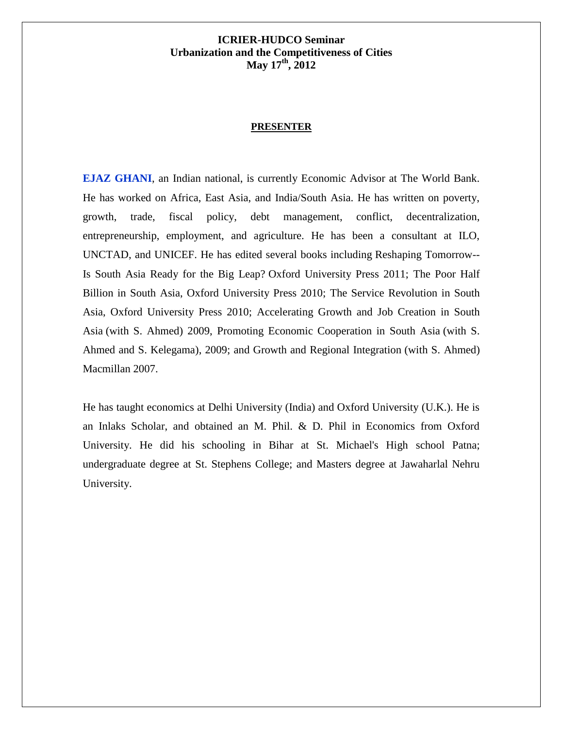### **PRESENTER**

**EJAZ GHANI**, an Indian national, is currently Economic Advisor at The World Bank. He has worked on Africa, East Asia, and India/South Asia. He has written on poverty, growth, trade, fiscal policy, debt management, conflict, decentralization, entrepreneurship, employment, and agriculture. He has been a consultant at ILO, UNCTAD, and UNICEF. He has edited several books including [Reshaping Tomorrow--](http://www.oup.com/us/catalog/general/subject/Economics/Developmental/Regional/?view=usa&ci=9780198075028) Is South Asia Ready for the Big Leap? Oxford University Press 2011; [The Poor Half](http://www.oup.com/us/catalog/general/subject/Economics/Developmental/Regional/?view=usa&ci=9780198068846)  [Billion in South Asia,](http://www.oup.com/us/catalog/general/subject/Economics/Developmental/Regional/?view=usa&ci=9780198068846) Oxford University Press 2010; [The Service Revolution in South](http://www.oup.com/us/catalog/general/subject/Economics/Developmental/Regional/?view=usa&ci=9780198065111)  [Asia,](http://www.oup.com/us/catalog/general/subject/Economics/Developmental/Regional/?view=usa&ci=9780198065111) Oxford University Press 2010; [Accelerating Growth and Job Creation in South](http://www.oup.com/us/catalog/general/subject/Economics/Developmental/Regional/?view=usa&ci=9780198060048)  [Asia](http://www.oup.com/us/catalog/general/subject/Economics/Developmental/Regional/?view=usa&ci=9780198060048) (with S. Ahmed) 2009, [Promoting Economic Cooperation in South Asia](http://www.sagepub.in/browse/book.asp?bookid=1450&mode=1) (with S. Ahmed and S. Kelegama), 2009; and Growth and Regional Integration (with S. Ahmed) Macmillan 2007.

He has taught economics at Delhi University (India) and Oxford University (U.K.). He is an Inlaks Scholar, and obtained an M. Phil. & D. Phil in Economics from Oxford University. He did his schooling in Bihar at St. Michael's High school Patna; undergraduate degree at St. Stephens College; and Masters degree at Jawaharlal Nehru University.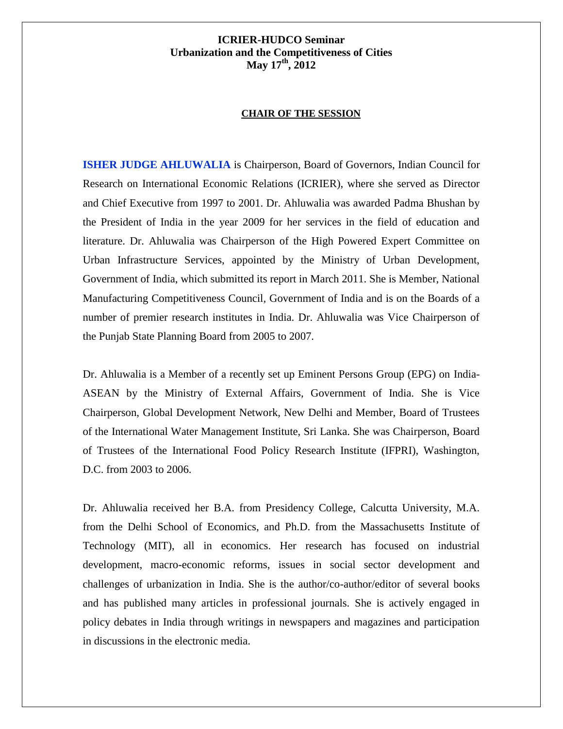#### **CHAIR OF THE SESSION**

**ISHER JUDGE AHLUWALIA** is Chairperson, Board of Governors, Indian Council for Research on International Economic Relations (ICRIER), where she served as Director and Chief Executive from 1997 to 2001. Dr. Ahluwalia was awarded Padma Bhushan by the President of India in the year 2009 for her services in the field of education and literature. Dr. Ahluwalia was Chairperson of the High Powered Expert Committee on Urban Infrastructure Services, appointed by the Ministry of Urban Development, Government of India, which submitted its report in March 2011. She is Member, National Manufacturing Competitiveness Council, Government of India and is on the Boards of a number of premier research institutes in India. Dr. Ahluwalia was Vice Chairperson of the Punjab State Planning Board from 2005 to 2007.

Dr. Ahluwalia is a Member of a recently set up Eminent Persons Group (EPG) on India-ASEAN by the Ministry of External Affairs, Government of India. She is Vice Chairperson, Global Development Network, New Delhi and Member, Board of Trustees of the International Water Management Institute, Sri Lanka. She was Chairperson, Board of Trustees of the International Food Policy Research Institute (IFPRI), Washington, D.C. from 2003 to 2006.

Dr. Ahluwalia received her B.A. from Presidency College, Calcutta University, M.A. from the Delhi School of Economics, and Ph.D. from the Massachusetts Institute of Technology (MIT), all in economics. Her research has focused on industrial development, macro-economic reforms, issues in social sector development and challenges of urbanization in India. She is the author/co-author/editor of several books and has published many articles in professional journals. She is actively engaged in policy debates in India through writings in newspapers and magazines and participation in discussions in the electronic media.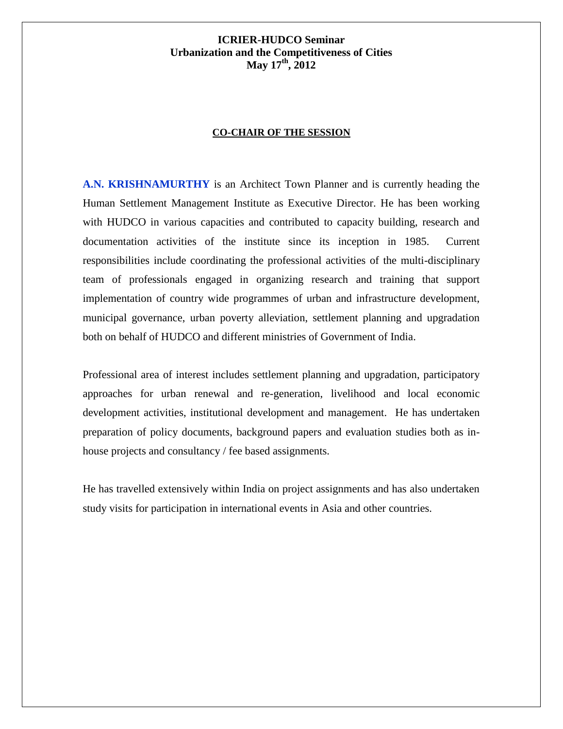#### **CO-CHAIR OF THE SESSION**

**A.N. KRISHNAMURTHY** is an Architect Town Planner and is currently heading the Human Settlement Management Institute as Executive Director. He has been working with HUDCO in various capacities and contributed to capacity building, research and documentation activities of the institute since its inception in 1985. Current responsibilities include coordinating the professional activities of the multi-disciplinary team of professionals engaged in organizing research and training that support implementation of country wide programmes of urban and infrastructure development, municipal governance, urban poverty alleviation, settlement planning and upgradation both on behalf of HUDCO and different ministries of Government of India.

Professional area of interest includes settlement planning and upgradation, participatory approaches for urban renewal and re-generation, livelihood and local economic development activities, institutional development and management. He has undertaken preparation of policy documents, background papers and evaluation studies both as inhouse projects and consultancy / fee based assignments.

He has travelled extensively within India on project assignments and has also undertaken study visits for participation in international events in Asia and other countries.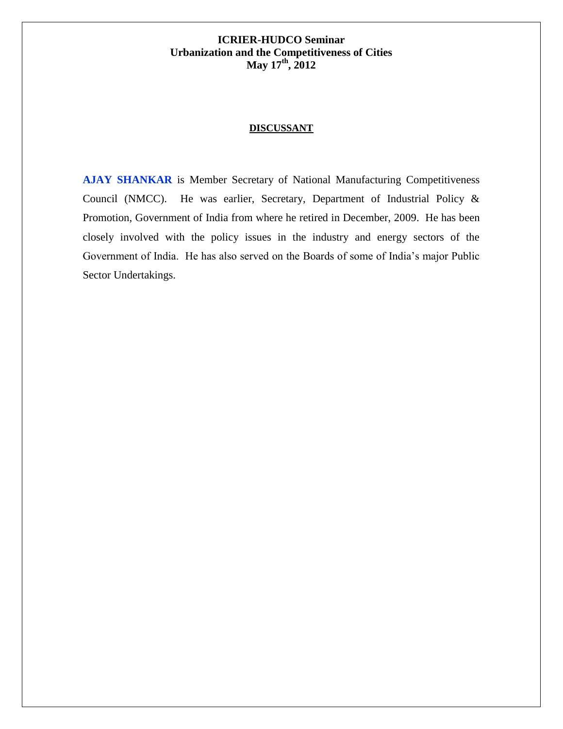### **DISCUSSANT**

**AJAY SHANKAR** is Member Secretary of National Manufacturing Competitiveness Council (NMCC). He was earlier, Secretary, Department of Industrial Policy & Promotion, Government of India from where he retired in December, 2009. He has been closely involved with the policy issues in the industry and energy sectors of the Government of India. He has also served on the Boards of some of India's major Public Sector Undertakings.